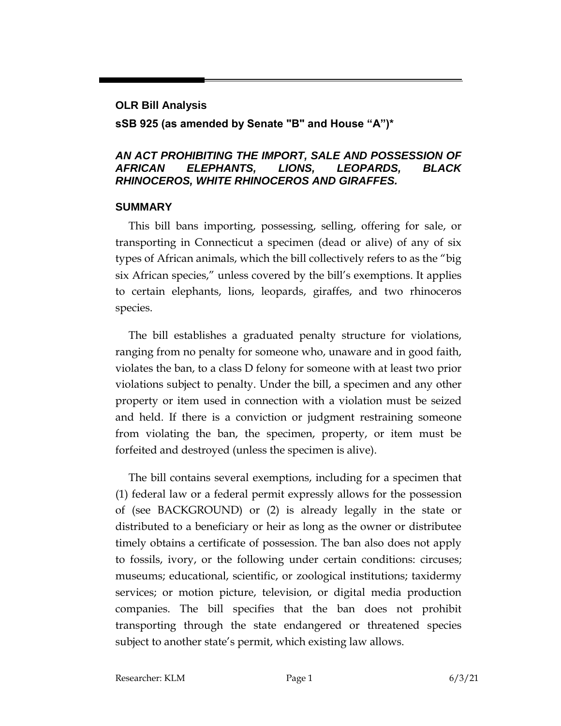#### **OLR Bill Analysis**

## **sSB 925 (as amended by Senate "B" and House "A")\***

## *AN ACT PROHIBITING THE IMPORT, SALE AND POSSESSION OF AFRICAN ELEPHANTS, LIONS, LEOPARDS, BLACK RHINOCEROS, WHITE RHINOCEROS AND GIRAFFES.*

### **SUMMARY**

This bill bans importing, possessing, selling, offering for sale, or transporting in Connecticut a specimen (dead or alive) of any of six types of African animals, which the bill collectively refers to as the "big six African species," unless covered by the bill's exemptions. It applies to certain elephants, lions, leopards, giraffes, and two rhinoceros species.

The bill establishes a graduated penalty structure for violations, ranging from no penalty for someone who, unaware and in good faith, violates the ban, to a class D felony for someone with at least two prior violations subject to penalty. Under the bill, a specimen and any other property or item used in connection with a violation must be seized and held. If there is a conviction or judgment restraining someone from violating the ban, the specimen, property, or item must be forfeited and destroyed (unless the specimen is alive).

The bill contains several exemptions, including for a specimen that (1) federal law or a federal permit expressly allows for the possession of (see BACKGROUND) or (2) is already legally in the state or distributed to a beneficiary or heir as long as the owner or distributee timely obtains a certificate of possession. The ban also does not apply to fossils, ivory, or the following under certain conditions: circuses; museums; educational, scientific, or zoological institutions; taxidermy services; or motion picture, television, or digital media production companies. The bill specifies that the ban does not prohibit transporting through the state endangered or threatened species subject to another state's permit, which existing law allows.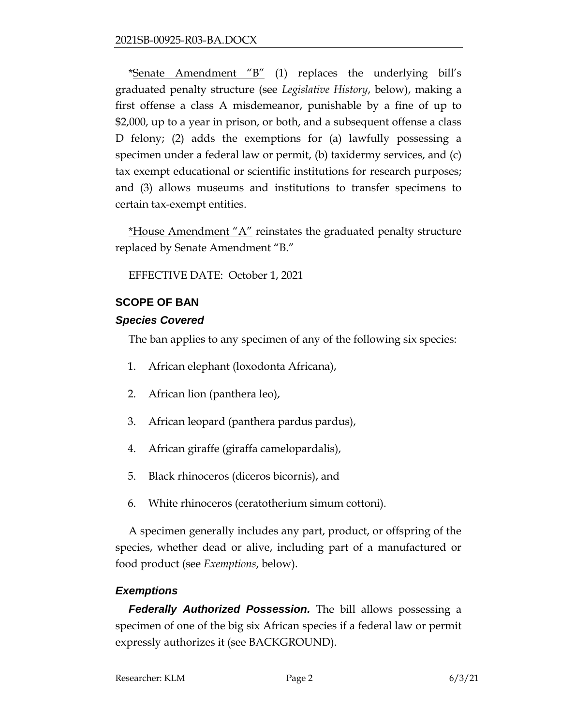\*Senate Amendment "B" (1) replaces the underlying bill's graduated penalty structure (see *Legislative History*, below), making a first offense a class A misdemeanor, punishable by a fine of up to \$2,000, up to a year in prison, or both, and a subsequent offense a class D felony; (2) adds the exemptions for (a) lawfully possessing a specimen under a federal law or permit, (b) taxidermy services, and (c) tax exempt educational or scientific institutions for research purposes; and (3) allows museums and institutions to transfer specimens to certain tax-exempt entities.

\*House Amendment " $A$ " reinstates the graduated penalty structure replaced by Senate Amendment "B."

EFFECTIVE DATE: October 1, 2021

# **SCOPE OF BAN**

# *Species Covered*

The ban applies to any specimen of any of the following six species:

- 1. African elephant (loxodonta Africana),
- 2. African lion (panthera leo),
- 3. African leopard (panthera pardus pardus),
- 4. African giraffe (giraffa camelopardalis),
- 5. Black rhinoceros (diceros bicornis), and
- 6. White rhinoceros (ceratotherium simum cottoni).

A specimen generally includes any part, product, or offspring of the species, whether dead or alive, including part of a manufactured or food product (see *Exemptions*, below).

# *Exemptions*

*Federally Authorized Possession.* The bill allows possessing a specimen of one of the big six African species if a federal law or permit expressly authorizes it (see BACKGROUND).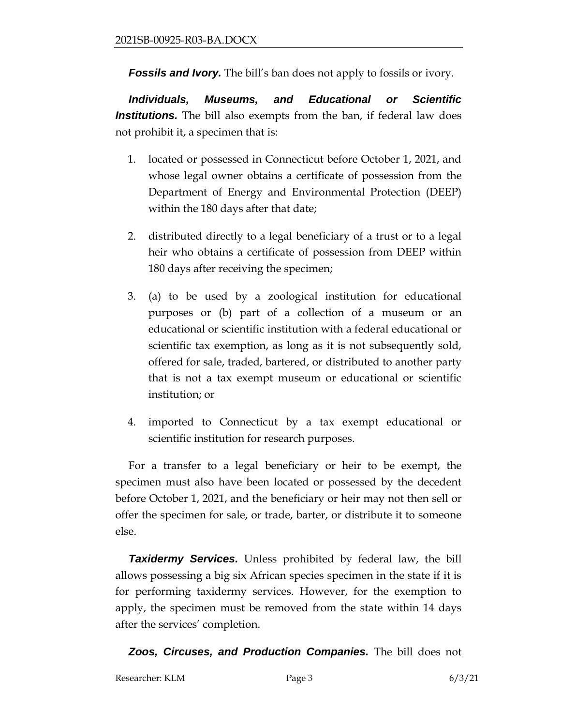**Fossils and Ivory.** The bill's ban does not apply to fossils or ivory.

*Individuals, Museums, and Educational or Scientific Institutions.* The bill also exempts from the ban, if federal law does not prohibit it, a specimen that is:

- 1. located or possessed in Connecticut before October 1, 2021, and whose legal owner obtains a certificate of possession from the Department of Energy and Environmental Protection (DEEP) within the 180 days after that date;
- 2. distributed directly to a legal beneficiary of a trust or to a legal heir who obtains a certificate of possession from DEEP within 180 days after receiving the specimen;
- 3. (a) to be used by a zoological institution for educational purposes or (b) part of a collection of a museum or an educational or scientific institution with a federal educational or scientific tax exemption, as long as it is not subsequently sold, offered for sale, traded, bartered, or distributed to another party that is not a tax exempt museum or educational or scientific institution; or
- 4. imported to Connecticut by a tax exempt educational or scientific institution for research purposes.

For a transfer to a legal beneficiary or heir to be exempt, the specimen must also have been located or possessed by the decedent before October 1, 2021, and the beneficiary or heir may not then sell or offer the specimen for sale, or trade, barter, or distribute it to someone else.

**Taxidermy Services.** Unless prohibited by federal law, the bill allows possessing a big six African species specimen in the state if it is for performing taxidermy services. However, for the exemption to apply, the specimen must be removed from the state within 14 days after the services' completion.

*Zoos, Circuses, and Production Companies.* The bill does not

Researcher: KLM Page 3 6/3/21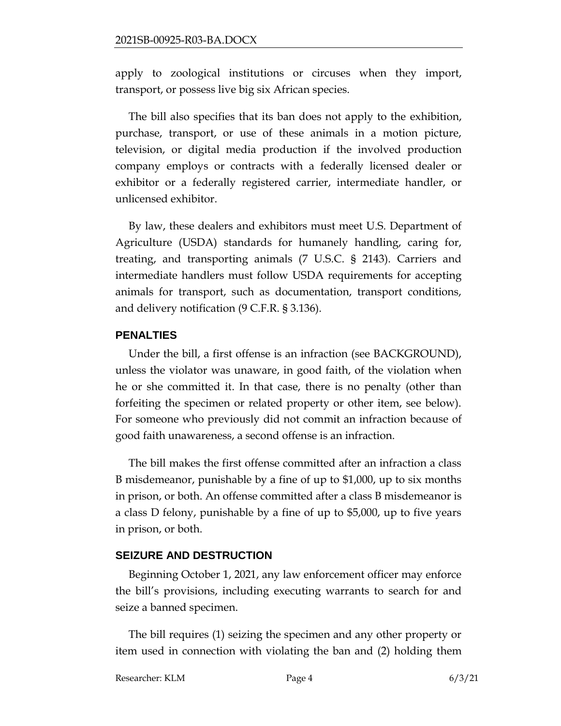apply to zoological institutions or circuses when they import, transport, or possess live big six African species.

The bill also specifies that its ban does not apply to the exhibition, purchase, transport, or use of these animals in a motion picture, television, or digital media production if the involved production company employs or contracts with a federally licensed dealer or exhibitor or a federally registered carrier, intermediate handler, or unlicensed exhibitor.

By law, these dealers and exhibitors must meet U.S. Department of Agriculture (USDA) standards for humanely handling, caring for, treating, and transporting animals (7 U.S.C. § 2143). Carriers and intermediate handlers must follow USDA requirements for accepting animals for transport, such as documentation, transport conditions, and delivery notification (9 C.F.R. § 3.136).

#### **PENALTIES**

Under the bill, a first offense is an infraction (see BACKGROUND), unless the violator was unaware, in good faith, of the violation when he or she committed it. In that case, there is no penalty (other than forfeiting the specimen or related property or other item, see below). For someone who previously did not commit an infraction because of good faith unawareness, a second offense is an infraction.

The bill makes the first offense committed after an infraction a class B misdemeanor, punishable by a fine of up to \$1,000, up to six months in prison, or both. An offense committed after a class B misdemeanor is a class D felony, punishable by a fine of up to \$5,000, up to five years in prison, or both.

#### **SEIZURE AND DESTRUCTION**

Beginning October 1, 2021, any law enforcement officer may enforce the bill's provisions, including executing warrants to search for and seize a banned specimen.

The bill requires (1) seizing the specimen and any other property or item used in connection with violating the ban and (2) holding them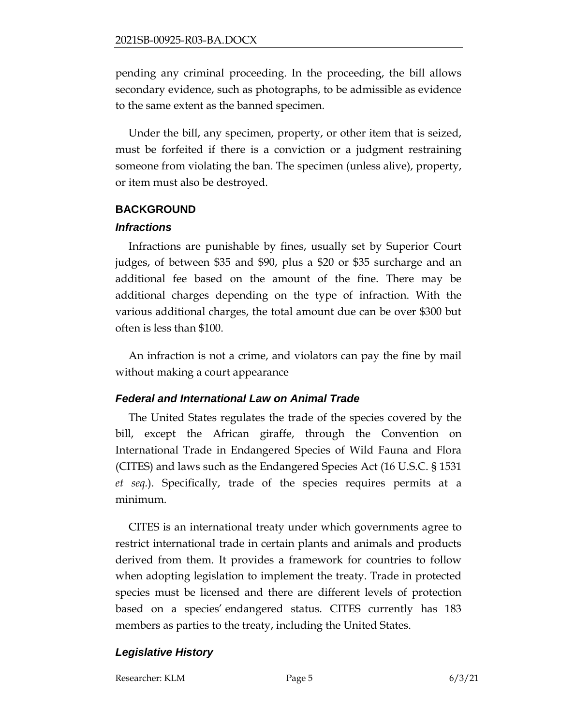pending any criminal proceeding. In the proceeding, the bill allows secondary evidence, such as photographs, to be admissible as evidence to the same extent as the banned specimen.

Under the bill, any specimen, property, or other item that is seized, must be forfeited if there is a conviction or a judgment restraining someone from violating the ban. The specimen (unless alive), property, or item must also be destroyed.

## **BACKGROUND**

## *Infractions*

Infractions are punishable by fines, usually set by Superior Court judges, of between \$35 and \$90, plus a \$20 or \$35 surcharge and an additional fee based on the amount of the fine. There may be additional charges depending on the type of infraction. With the various additional charges, the total amount due can be over \$300 but often is less than \$100.

An infraction is not a crime, and violators can pay the fine by mail without making a court appearance

# *Federal and International Law on Animal Trade*

The United States regulates the trade of the species covered by the bill, except the African giraffe, through the Convention on International Trade in Endangered Species of Wild Fauna and Flora (CITES) and laws such as the Endangered Species Act (16 U.S.C. § 1531 *et seq.*). Specifically, trade of the species requires permits at a minimum.

CITES is an international treaty under which governments agree to restrict international trade in certain plants and animals and products derived from them. It provides a framework for countries to follow when adopting legislation to implement the treaty. Trade in protected species must be licensed and there are different levels of protection based on a species' endangered status. CITES currently has 183 members as parties to the treaty, including the United States.

# *Legislative History*

Researcher: KLM Page 5 6/3/21